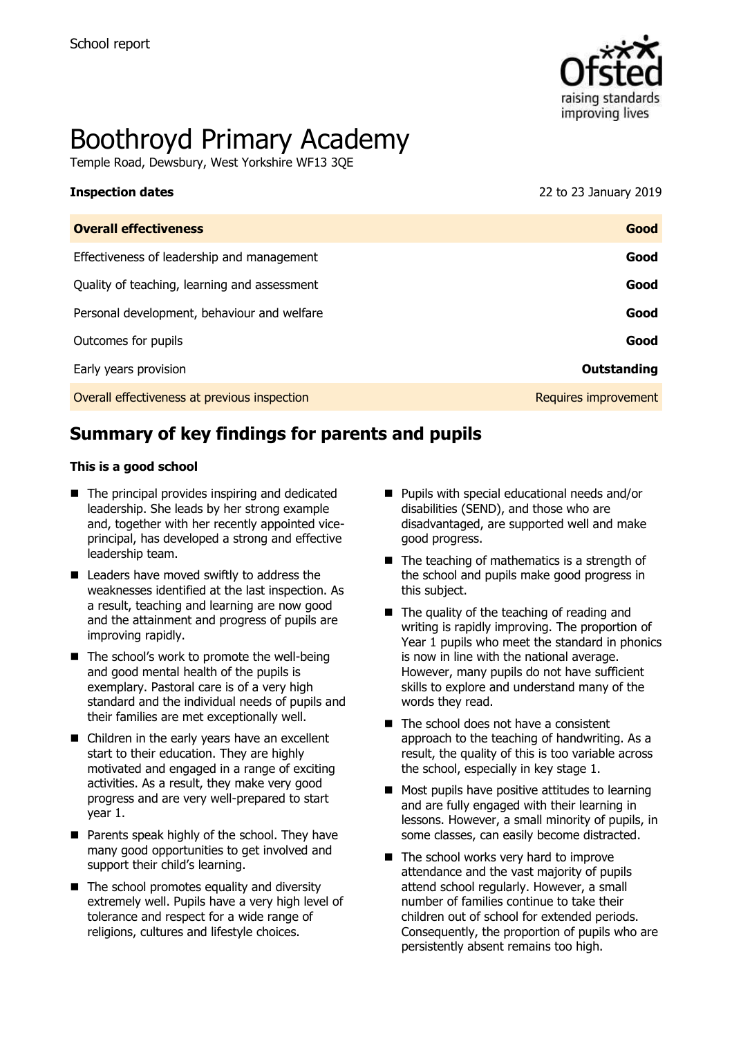

# Boothroyd Primary Academy

Temple Road, Dewsbury, West Yorkshire WF13 3QE

#### **Inspection dates** 22 to 23 January 2019

| <b>Overall effectiveness</b>                 | Good                 |
|----------------------------------------------|----------------------|
| Effectiveness of leadership and management   | Good                 |
| Quality of teaching, learning and assessment | Good                 |
| Personal development, behaviour and welfare  | Good                 |
| Outcomes for pupils                          | Good                 |
| Early years provision                        | Outstanding          |
| Overall effectiveness at previous inspection | Requires improvement |

# **Summary of key findings for parents and pupils**

#### **This is a good school**

- $\blacksquare$  The principal provides inspiring and dedicated leadership. She leads by her strong example and, together with her recently appointed viceprincipal, has developed a strong and effective leadership team.
- Leaders have moved swiftly to address the weaknesses identified at the last inspection. As a result, teaching and learning are now good and the attainment and progress of pupils are improving rapidly.
- $\blacksquare$  The school's work to promote the well-being and good mental health of the pupils is exemplary. Pastoral care is of a very high standard and the individual needs of pupils and their families are met exceptionally well.
- Children in the early years have an excellent start to their education. They are highly motivated and engaged in a range of exciting activities. As a result, they make very good progress and are very well-prepared to start year 1.
- **Parents speak highly of the school. They have** many good opportunities to get involved and support their child's learning.
- $\blacksquare$  The school promotes equality and diversity extremely well. Pupils have a very high level of tolerance and respect for a wide range of religions, cultures and lifestyle choices.
- **Pupils with special educational needs and/or** disabilities (SEND), and those who are disadvantaged, are supported well and make good progress.
- $\blacksquare$  The teaching of mathematics is a strength of the school and pupils make good progress in this subject.
- $\blacksquare$  The quality of the teaching of reading and writing is rapidly improving. The proportion of Year 1 pupils who meet the standard in phonics is now in line with the national average. However, many pupils do not have sufficient skills to explore and understand many of the words they read.
- The school does not have a consistent approach to the teaching of handwriting. As a result, the quality of this is too variable across the school, especially in key stage 1.
- $\blacksquare$  Most pupils have positive attitudes to learning and are fully engaged with their learning in lessons. However, a small minority of pupils, in some classes, can easily become distracted.
- The school works very hard to improve attendance and the vast majority of pupils attend school regularly. However, a small number of families continue to take their children out of school for extended periods. Consequently, the proportion of pupils who are persistently absent remains too high.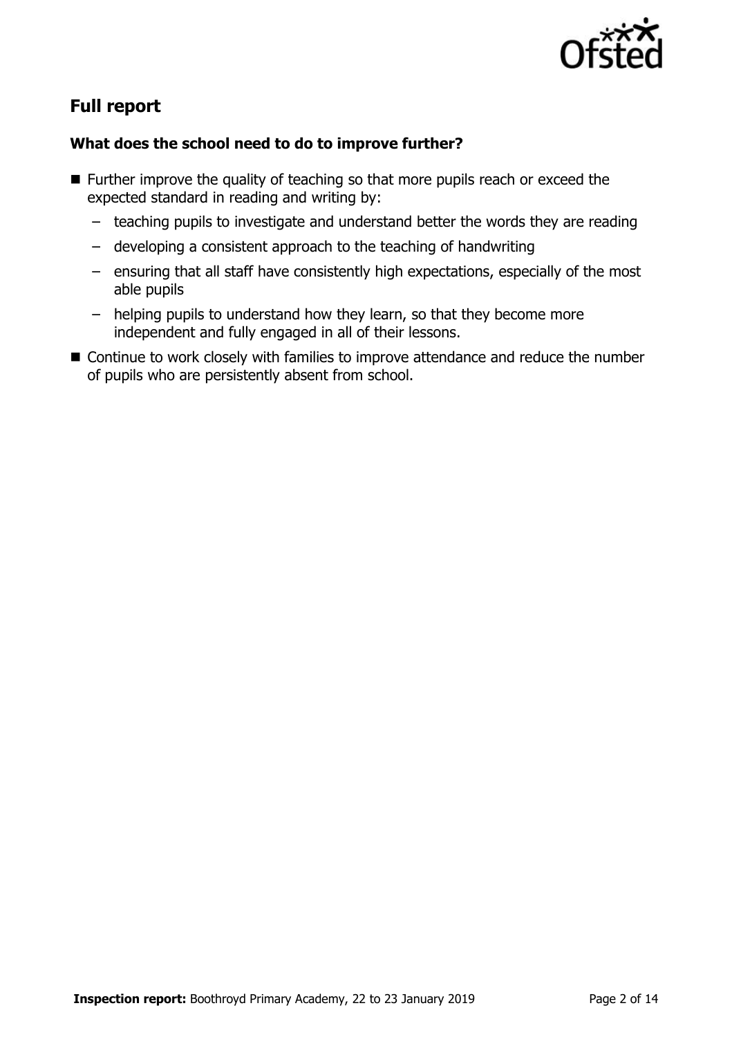

# **Full report**

### **What does the school need to do to improve further?**

- Further improve the quality of teaching so that more pupils reach or exceed the expected standard in reading and writing by:
	- teaching pupils to investigate and understand better the words they are reading
	- developing a consistent approach to the teaching of handwriting
	- ensuring that all staff have consistently high expectations, especially of the most able pupils
	- helping pupils to understand how they learn, so that they become more independent and fully engaged in all of their lessons.
- Continue to work closely with families to improve attendance and reduce the number of pupils who are persistently absent from school.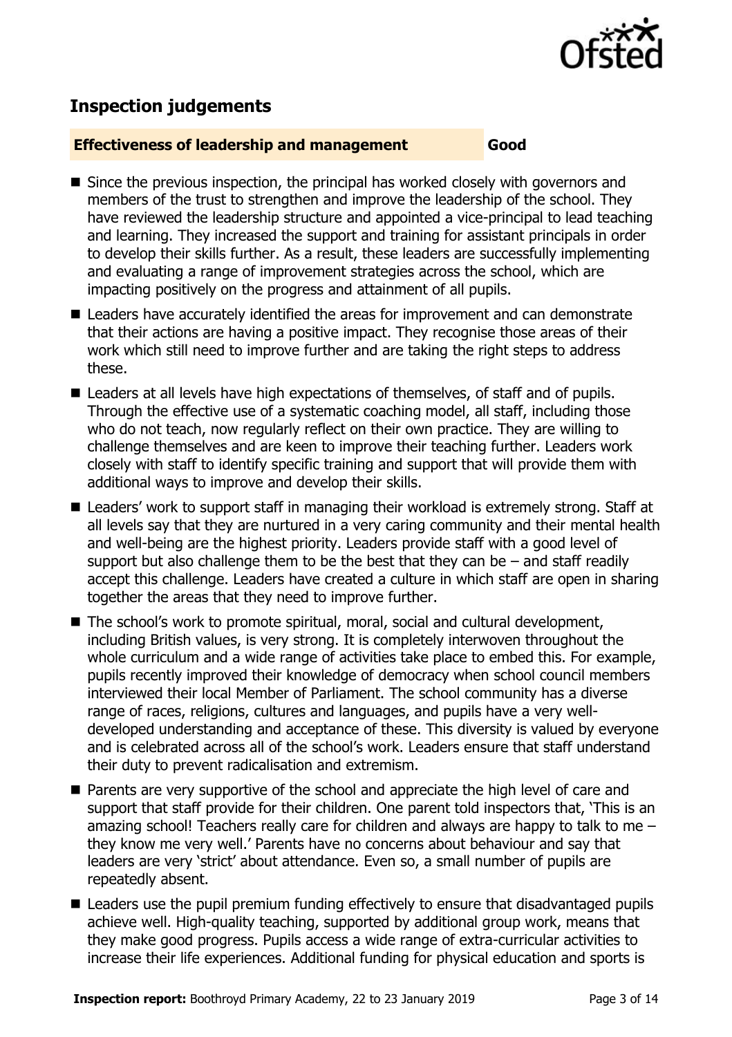

# **Inspection judgements**

#### **Effectiveness of leadership and management Good**

- Since the previous inspection, the principal has worked closely with governors and members of the trust to strengthen and improve the leadership of the school. They have reviewed the leadership structure and appointed a vice-principal to lead teaching and learning. They increased the support and training for assistant principals in order to develop their skills further. As a result, these leaders are successfully implementing and evaluating a range of improvement strategies across the school, which are impacting positively on the progress and attainment of all pupils.
- Leaders have accurately identified the areas for improvement and can demonstrate that their actions are having a positive impact. They recognise those areas of their work which still need to improve further and are taking the right steps to address these.
- Leaders at all levels have high expectations of themselves, of staff and of pupils. Through the effective use of a systematic coaching model, all staff, including those who do not teach, now regularly reflect on their own practice. They are willing to challenge themselves and are keen to improve their teaching further. Leaders work closely with staff to identify specific training and support that will provide them with additional ways to improve and develop their skills.
- Leaders' work to support staff in managing their workload is extremely strong. Staff at all levels say that they are nurtured in a very caring community and their mental health and well-being are the highest priority. Leaders provide staff with a good level of support but also challenge them to be the best that they can be  $-$  and staff readily accept this challenge. Leaders have created a culture in which staff are open in sharing together the areas that they need to improve further.
- The school's work to promote spiritual, moral, social and cultural development, including British values, is very strong. It is completely interwoven throughout the whole curriculum and a wide range of activities take place to embed this. For example, pupils recently improved their knowledge of democracy when school council members interviewed their local Member of Parliament. The school community has a diverse range of races, religions, cultures and languages, and pupils have a very welldeveloped understanding and acceptance of these. This diversity is valued by everyone and is celebrated across all of the school's work. Leaders ensure that staff understand their duty to prevent radicalisation and extremism.
- **Parents are very supportive of the school and appreciate the high level of care and** support that staff provide for their children. One parent told inspectors that, 'This is an amazing school! Teachers really care for children and always are happy to talk to me  $$ they know me very well.' Parents have no concerns about behaviour and say that leaders are very 'strict' about attendance. Even so, a small number of pupils are repeatedly absent.
- Leaders use the pupil premium funding effectively to ensure that disadvantaged pupils achieve well. High-quality teaching, supported by additional group work, means that they make good progress. Pupils access a wide range of extra-curricular activities to increase their life experiences. Additional funding for physical education and sports is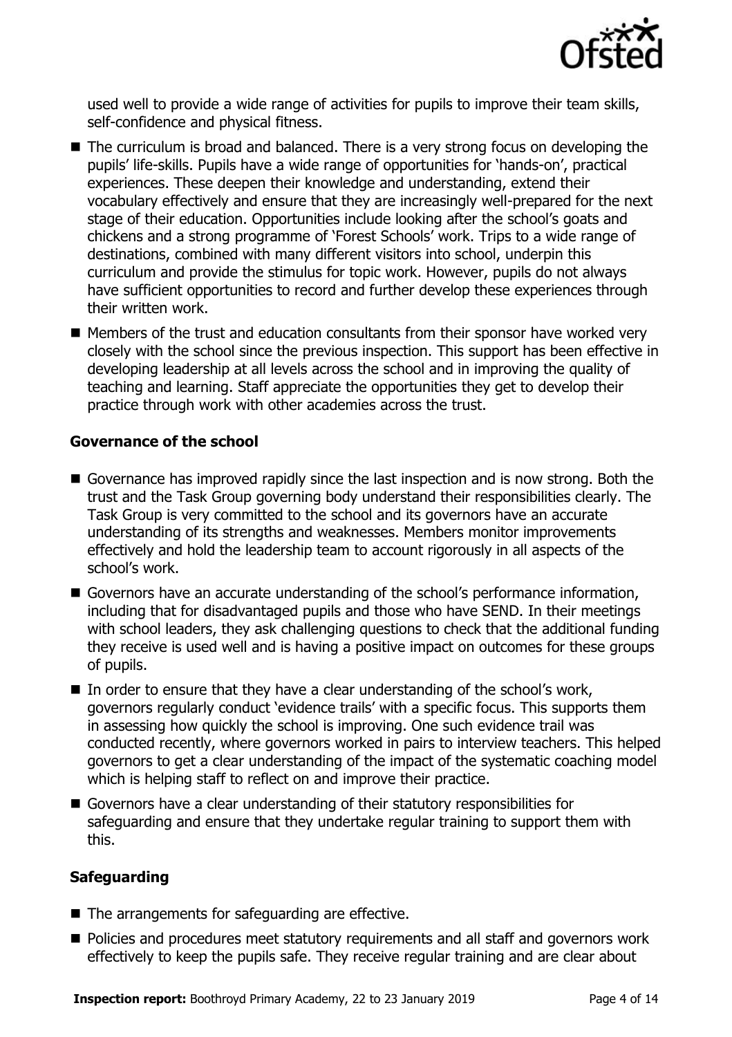

used well to provide a wide range of activities for pupils to improve their team skills, self-confidence and physical fitness.

- The curriculum is broad and balanced. There is a very strong focus on developing the pupils' life-skills. Pupils have a wide range of opportunities for 'hands-on', practical experiences. These deepen their knowledge and understanding, extend their vocabulary effectively and ensure that they are increasingly well-prepared for the next stage of their education. Opportunities include looking after the school's goats and chickens and a strong programme of 'Forest Schools' work. Trips to a wide range of destinations, combined with many different visitors into school, underpin this curriculum and provide the stimulus for topic work. However, pupils do not always have sufficient opportunities to record and further develop these experiences through their written work.
- $\blacksquare$  Members of the trust and education consultants from their sponsor have worked very closely with the school since the previous inspection. This support has been effective in developing leadership at all levels across the school and in improving the quality of teaching and learning. Staff appreciate the opportunities they get to develop their practice through work with other academies across the trust.

#### **Governance of the school**

- Governance has improved rapidly since the last inspection and is now strong. Both the trust and the Task Group governing body understand their responsibilities clearly. The Task Group is very committed to the school and its governors have an accurate understanding of its strengths and weaknesses. Members monitor improvements effectively and hold the leadership team to account rigorously in all aspects of the school's work.
- Governors have an accurate understanding of the school's performance information, including that for disadvantaged pupils and those who have SEND. In their meetings with school leaders, they ask challenging questions to check that the additional funding they receive is used well and is having a positive impact on outcomes for these groups of pupils.
- In order to ensure that they have a clear understanding of the school's work, governors regularly conduct 'evidence trails' with a specific focus. This supports them in assessing how quickly the school is improving. One such evidence trail was conducted recently, where governors worked in pairs to interview teachers. This helped governors to get a clear understanding of the impact of the systematic coaching model which is helping staff to reflect on and improve their practice.
- Governors have a clear understanding of their statutory responsibilities for safeguarding and ensure that they undertake regular training to support them with this.

#### **Safeguarding**

- $\blacksquare$  The arrangements for safeguarding are effective.
- **Policies and procedures meet statutory requirements and all staff and governors work** effectively to keep the pupils safe. They receive regular training and are clear about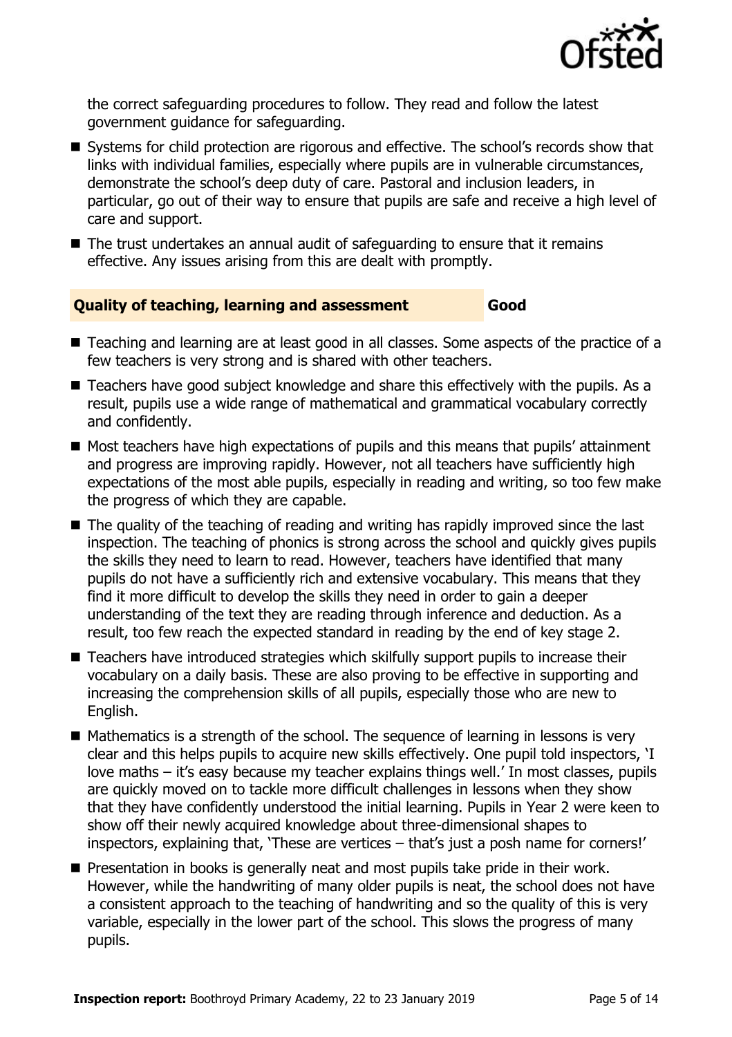

the correct safeguarding procedures to follow. They read and follow the latest government guidance for safeguarding.

- Systems for child protection are rigorous and effective. The school's records show that links with individual families, especially where pupils are in vulnerable circumstances, demonstrate the school's deep duty of care. Pastoral and inclusion leaders, in particular, go out of their way to ensure that pupils are safe and receive a high level of care and support.
- The trust undertakes an annual audit of safeguarding to ensure that it remains effective. Any issues arising from this are dealt with promptly.

#### **Quality of teaching, learning and assessment Good**

- Teaching and learning are at least good in all classes. Some aspects of the practice of a few teachers is very strong and is shared with other teachers.
- Teachers have good subject knowledge and share this effectively with the pupils. As a result, pupils use a wide range of mathematical and grammatical vocabulary correctly and confidently.
- Most teachers have high expectations of pupils and this means that pupils' attainment and progress are improving rapidly. However, not all teachers have sufficiently high expectations of the most able pupils, especially in reading and writing, so too few make the progress of which they are capable.
- The quality of the teaching of reading and writing has rapidly improved since the last inspection. The teaching of phonics is strong across the school and quickly gives pupils the skills they need to learn to read. However, teachers have identified that many pupils do not have a sufficiently rich and extensive vocabulary. This means that they find it more difficult to develop the skills they need in order to gain a deeper understanding of the text they are reading through inference and deduction. As a result, too few reach the expected standard in reading by the end of key stage 2.
- Teachers have introduced strategies which skilfully support pupils to increase their vocabulary on a daily basis. These are also proving to be effective in supporting and increasing the comprehension skills of all pupils, especially those who are new to English.
- $\blacksquare$  Mathematics is a strength of the school. The sequence of learning in lessons is very clear and this helps pupils to acquire new skills effectively. One pupil told inspectors, 'I love maths – it's easy because my teacher explains things well.' In most classes, pupils are quickly moved on to tackle more difficult challenges in lessons when they show that they have confidently understood the initial learning. Pupils in Year 2 were keen to show off their newly acquired knowledge about three-dimensional shapes to inspectors, explaining that, 'These are vertices – that's just a posh name for corners!'
- **Presentation in books is generally neat and most pupils take pride in their work.** However, while the handwriting of many older pupils is neat, the school does not have a consistent approach to the teaching of handwriting and so the quality of this is very variable, especially in the lower part of the school. This slows the progress of many pupils.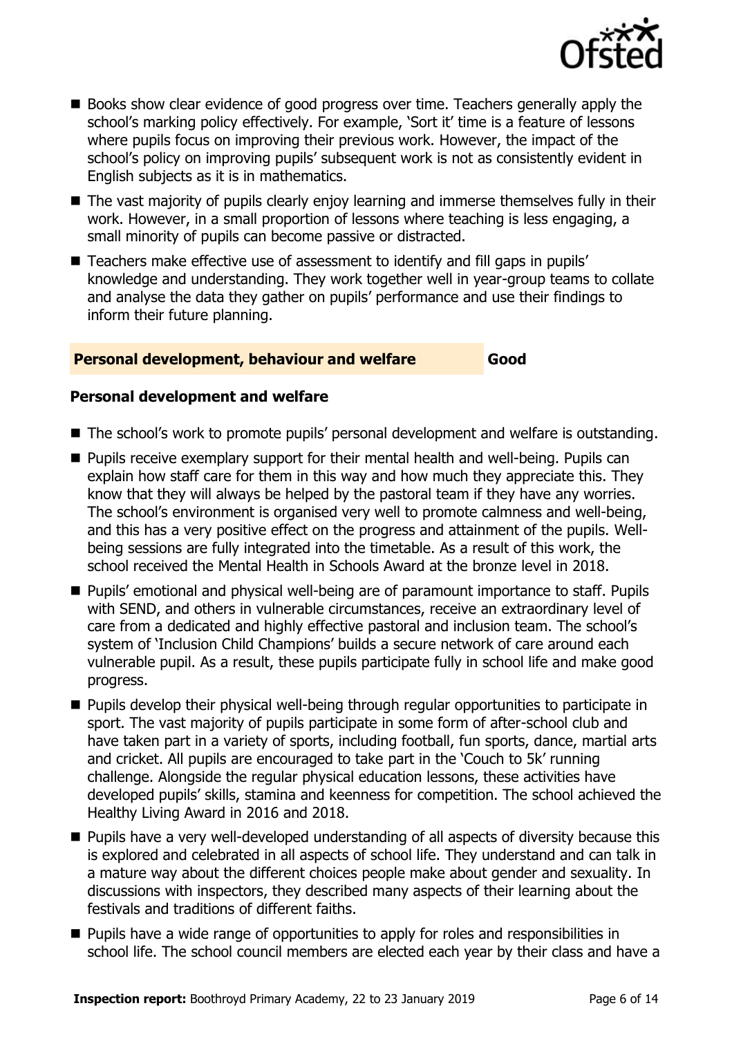

- Books show clear evidence of good progress over time. Teachers generally apply the school's marking policy effectively. For example, 'Sort it' time is a feature of lessons where pupils focus on improving their previous work. However, the impact of the school's policy on improving pupils' subsequent work is not as consistently evident in English subjects as it is in mathematics.
- The vast majority of pupils clearly enjoy learning and immerse themselves fully in their work. However, in a small proportion of lessons where teaching is less engaging, a small minority of pupils can become passive or distracted.
- Teachers make effective use of assessment to identify and fill gaps in pupils' knowledge and understanding. They work together well in year-group teams to collate and analyse the data they gather on pupils' performance and use their findings to inform their future planning.

#### **Personal development, behaviour and welfare Good**

#### **Personal development and welfare**

- The school's work to promote pupils' personal development and welfare is outstanding.
- Pupils receive exemplary support for their mental health and well-being. Pupils can explain how staff care for them in this way and how much they appreciate this. They know that they will always be helped by the pastoral team if they have any worries. The school's environment is organised very well to promote calmness and well-being, and this has a very positive effect on the progress and attainment of the pupils. Wellbeing sessions are fully integrated into the timetable. As a result of this work, the school received the Mental Health in Schools Award at the bronze level in 2018.
- Pupils' emotional and physical well-being are of paramount importance to staff. Pupils with SEND, and others in vulnerable circumstances, receive an extraordinary level of care from a dedicated and highly effective pastoral and inclusion team. The school's system of 'Inclusion Child Champions' builds a secure network of care around each vulnerable pupil. As a result, these pupils participate fully in school life and make good progress.
- **Pupils develop their physical well-being through regular opportunities to participate in** sport. The vast majority of pupils participate in some form of after-school club and have taken part in a variety of sports, including football, fun sports, dance, martial arts and cricket. All pupils are encouraged to take part in the 'Couch to 5k' running challenge. Alongside the regular physical education lessons, these activities have developed pupils' skills, stamina and keenness for competition. The school achieved the Healthy Living Award in 2016 and 2018.
- **Pupils have a very well-developed understanding of all aspects of diversity because this** is explored and celebrated in all aspects of school life. They understand and can talk in a mature way about the different choices people make about gender and sexuality. In discussions with inspectors, they described many aspects of their learning about the festivals and traditions of different faiths.
- **Pupils have a wide range of opportunities to apply for roles and responsibilities in** school life. The school council members are elected each year by their class and have a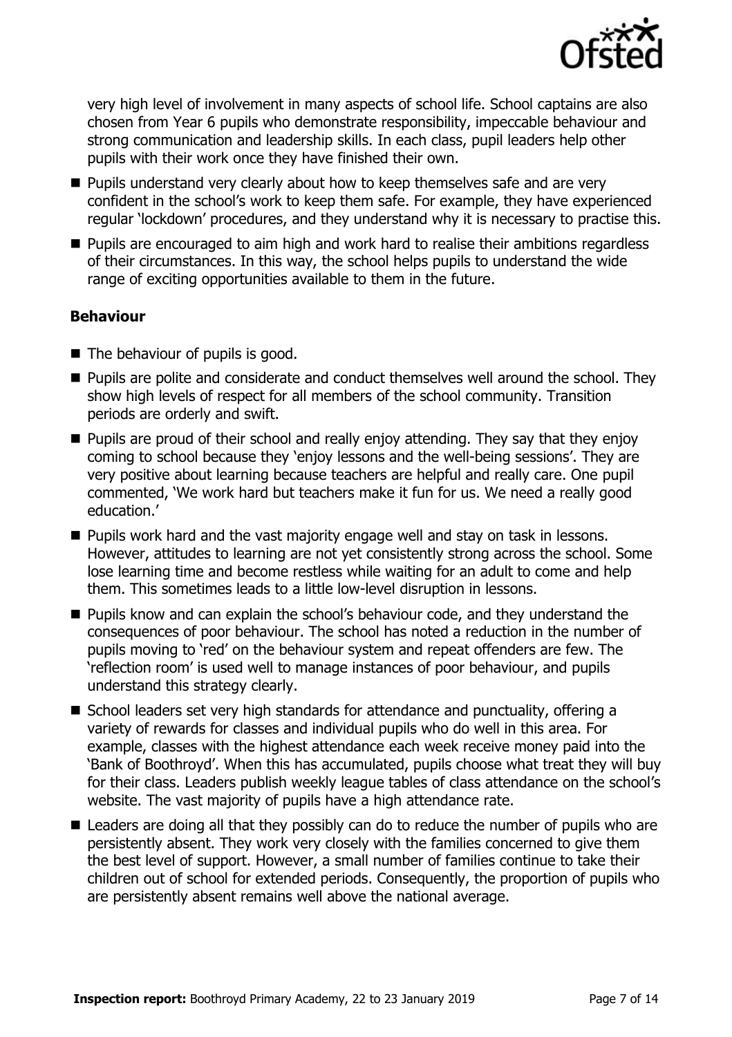

very high level of involvement in many aspects of school life. School captains are also chosen from Year 6 pupils who demonstrate responsibility, impeccable behaviour and strong communication and leadership skills. In each class, pupil leaders help other pupils with their work once they have finished their own.

- **Pupils understand very clearly about how to keep themselves safe and are very** confident in the school's work to keep them safe. For example, they have experienced regular 'lockdown' procedures, and they understand why it is necessary to practise this.
- **Pupils are encouraged to aim high and work hard to realise their ambitions regardless** of their circumstances. In this way, the school helps pupils to understand the wide range of exciting opportunities available to them in the future.

### **Behaviour**

- The behaviour of pupils is good.
- **Pupils are polite and considerate and conduct themselves well around the school. They** show high levels of respect for all members of the school community. Transition periods are orderly and swift.
- **Pupils are proud of their school and really enjoy attending. They say that they enjoy** coming to school because they 'enjoy lessons and the well-being sessions'. They are very positive about learning because teachers are helpful and really care. One pupil commented, 'We work hard but teachers make it fun for us. We need a really good education.'
- **Pupils work hard and the vast majority engage well and stay on task in lessons.** However, attitudes to learning are not yet consistently strong across the school. Some lose learning time and become restless while waiting for an adult to come and help them. This sometimes leads to a little low-level disruption in lessons.
- **Pupils know and can explain the school's behaviour code, and they understand the** consequences of poor behaviour. The school has noted a reduction in the number of pupils moving to 'red' on the behaviour system and repeat offenders are few. The 'reflection room' is used well to manage instances of poor behaviour, and pupils understand this strategy clearly.
- School leaders set very high standards for attendance and punctuality, offering a variety of rewards for classes and individual pupils who do well in this area. For example, classes with the highest attendance each week receive money paid into the 'Bank of Boothroyd'. When this has accumulated, pupils choose what treat they will buy for their class. Leaders publish weekly league tables of class attendance on the school's website. The vast majority of pupils have a high attendance rate.
- Leaders are doing all that they possibly can do to reduce the number of pupils who are persistently absent. They work very closely with the families concerned to give them the best level of support. However, a small number of families continue to take their children out of school for extended periods. Consequently, the proportion of pupils who are persistently absent remains well above the national average.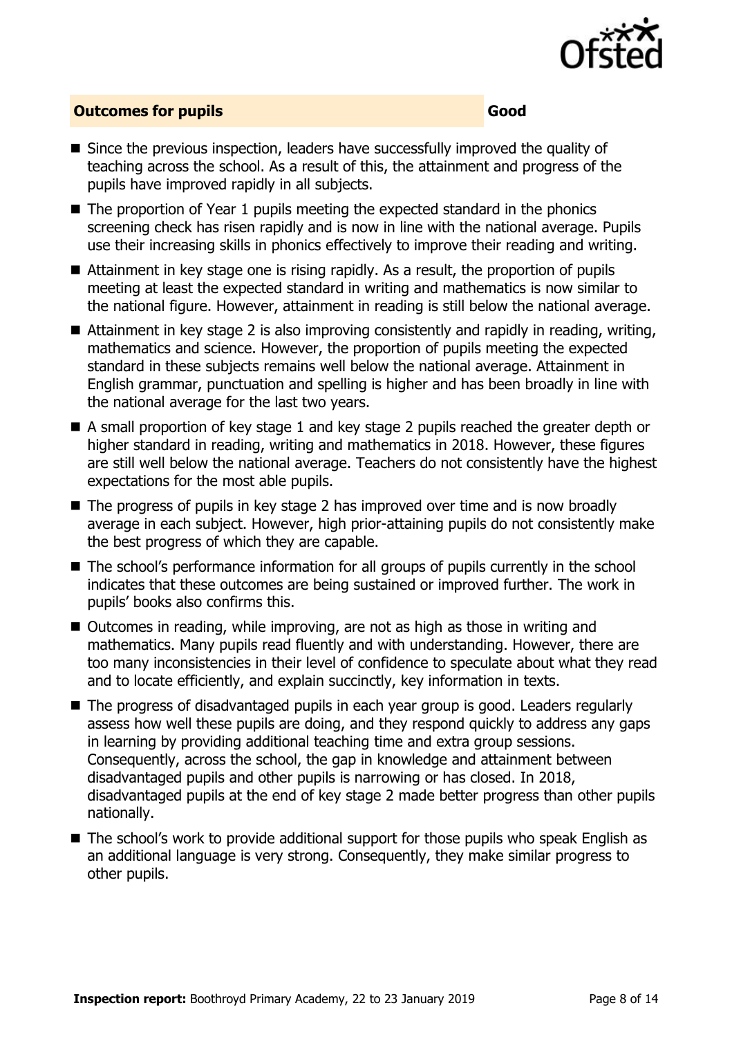

#### **Outcomes for pupils Good**

- Since the previous inspection, leaders have successfully improved the quality of teaching across the school. As a result of this, the attainment and progress of the pupils have improved rapidly in all subjects.
- $\blacksquare$  The proportion of Year 1 pupils meeting the expected standard in the phonics screening check has risen rapidly and is now in line with the national average. Pupils use their increasing skills in phonics effectively to improve their reading and writing.
- Attainment in key stage one is rising rapidly. As a result, the proportion of pupils meeting at least the expected standard in writing and mathematics is now similar to the national figure. However, attainment in reading is still below the national average.
- Attainment in key stage 2 is also improving consistently and rapidly in reading, writing, mathematics and science. However, the proportion of pupils meeting the expected standard in these subjects remains well below the national average. Attainment in English grammar, punctuation and spelling is higher and has been broadly in line with the national average for the last two years.
- A small proportion of key stage 1 and key stage 2 pupils reached the greater depth or higher standard in reading, writing and mathematics in 2018. However, these figures are still well below the national average. Teachers do not consistently have the highest expectations for the most able pupils.
- The progress of pupils in key stage 2 has improved over time and is now broadly average in each subject. However, high prior-attaining pupils do not consistently make the best progress of which they are capable.
- The school's performance information for all groups of pupils currently in the school indicates that these outcomes are being sustained or improved further. The work in pupils' books also confirms this.
- Outcomes in reading, while improving, are not as high as those in writing and mathematics. Many pupils read fluently and with understanding. However, there are too many inconsistencies in their level of confidence to speculate about what they read and to locate efficiently, and explain succinctly, key information in texts.
- The progress of disadvantaged pupils in each year group is good. Leaders regularly assess how well these pupils are doing, and they respond quickly to address any gaps in learning by providing additional teaching time and extra group sessions. Consequently, across the school, the gap in knowledge and attainment between disadvantaged pupils and other pupils is narrowing or has closed. In 2018, disadvantaged pupils at the end of key stage 2 made better progress than other pupils nationally.
- The school's work to provide additional support for those pupils who speak English as an additional language is very strong. Consequently, they make similar progress to other pupils.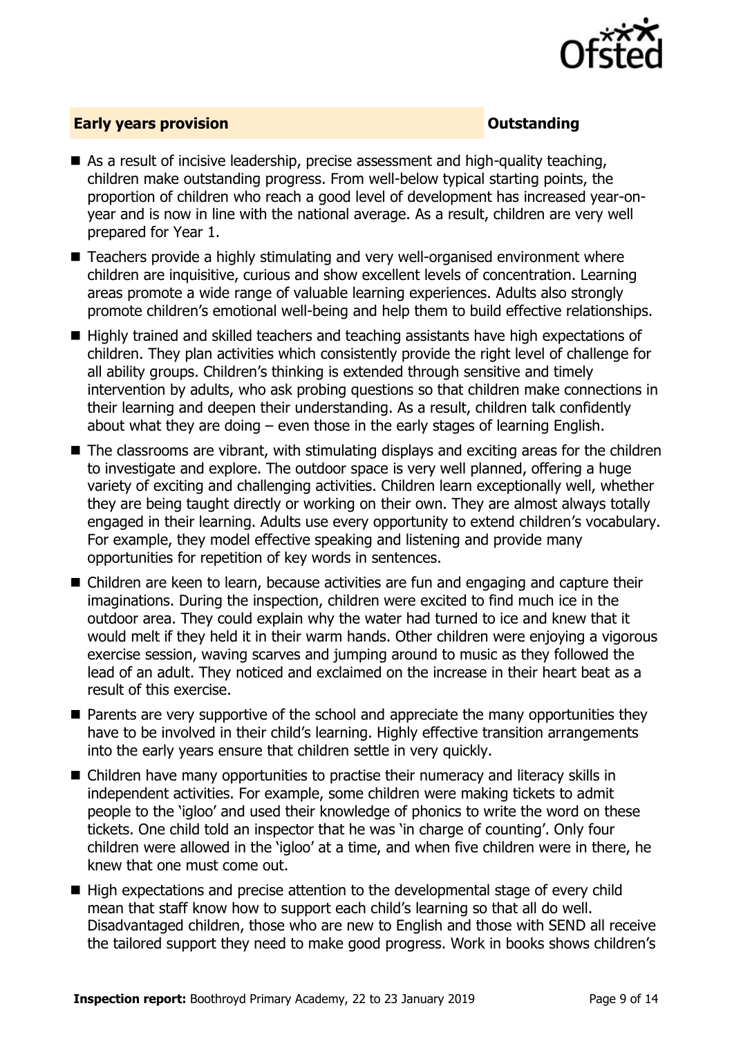

#### **Early years provision CONSTANDING TO A RESEARCH CONSTANDING TO A RESEARCH CONSTANDING TO A RESEARCH CONSTANDING TO A RESEARCH CONSTANDING TO A RESEARCH CONSTANDING TO A RESEARCH CONSTANDING TO A RESEARCH CONSTANDING TO**

- As a result of incisive leadership, precise assessment and high-quality teaching, children make outstanding progress. From well-below typical starting points, the proportion of children who reach a good level of development has increased year-onyear and is now in line with the national average. As a result, children are very well prepared for Year 1.
- Teachers provide a highly stimulating and very well-organised environment where children are inquisitive, curious and show excellent levels of concentration. Learning areas promote a wide range of valuable learning experiences. Adults also strongly promote children's emotional well-being and help them to build effective relationships.
- Highly trained and skilled teachers and teaching assistants have high expectations of children. They plan activities which consistently provide the right level of challenge for all ability groups. Children's thinking is extended through sensitive and timely intervention by adults, who ask probing questions so that children make connections in their learning and deepen their understanding. As a result, children talk confidently about what they are doing – even those in the early stages of learning English.
- The classrooms are vibrant, with stimulating displays and exciting areas for the children to investigate and explore. The outdoor space is very well planned, offering a huge variety of exciting and challenging activities. Children learn exceptionally well, whether they are being taught directly or working on their own. They are almost always totally engaged in their learning. Adults use every opportunity to extend children's vocabulary. For example, they model effective speaking and listening and provide many opportunities for repetition of key words in sentences.
- Children are keen to learn, because activities are fun and engaging and capture their imaginations. During the inspection, children were excited to find much ice in the outdoor area. They could explain why the water had turned to ice and knew that it would melt if they held it in their warm hands. Other children were enjoying a vigorous exercise session, waving scarves and jumping around to music as they followed the lead of an adult. They noticed and exclaimed on the increase in their heart beat as a result of this exercise.
- **Parents are very supportive of the school and appreciate the many opportunities they** have to be involved in their child's learning. Highly effective transition arrangements into the early years ensure that children settle in very quickly.
- Children have many opportunities to practise their numeracy and literacy skills in independent activities. For example, some children were making tickets to admit people to the 'igloo' and used their knowledge of phonics to write the word on these tickets. One child told an inspector that he was 'in charge of counting'. Only four children were allowed in the 'igloo' at a time, and when five children were in there, he knew that one must come out.
- High expectations and precise attention to the developmental stage of every child mean that staff know how to support each child's learning so that all do well. Disadvantaged children, those who are new to English and those with SEND all receive the tailored support they need to make good progress. Work in books shows children's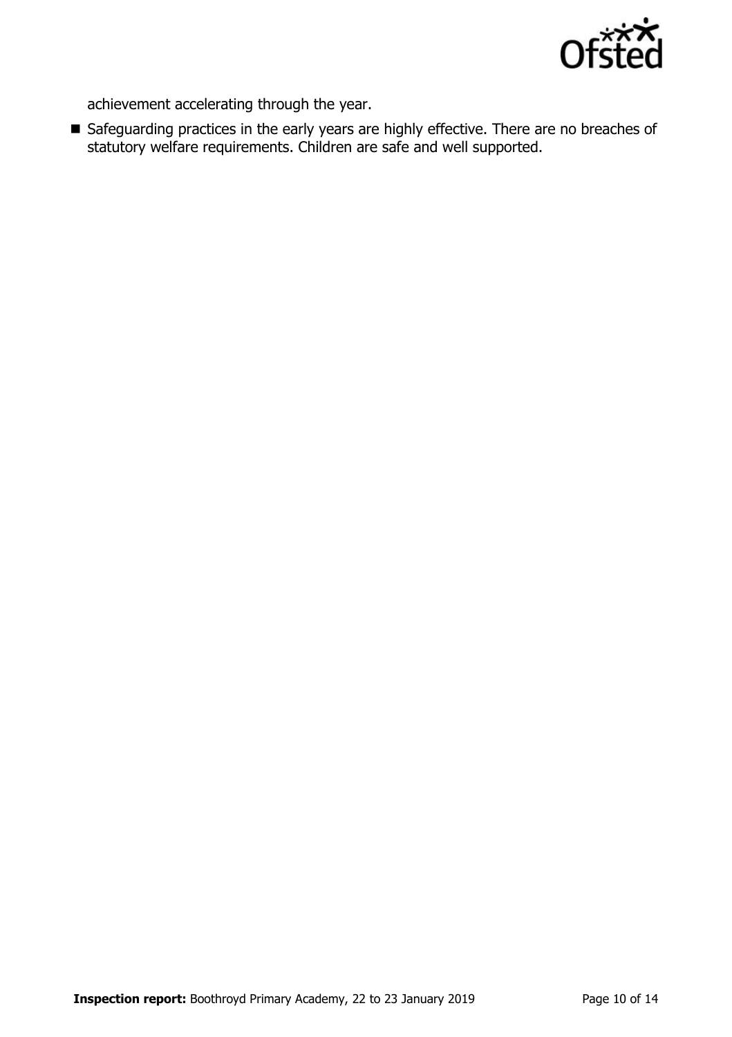

achievement accelerating through the year.

Safeguarding practices in the early years are highly effective. There are no breaches of statutory welfare requirements. Children are safe and well supported.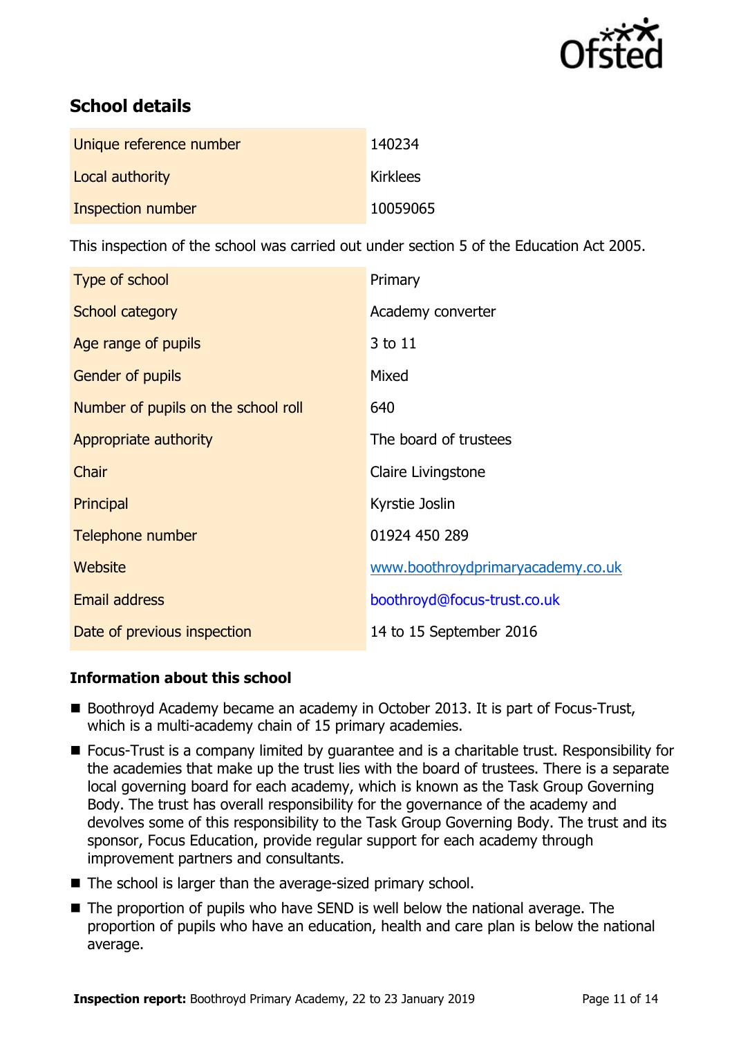

# **School details**

| Unique reference number | 140234          |
|-------------------------|-----------------|
| Local authority         | <b>Kirklees</b> |
| Inspection number       | 10059065        |

This inspection of the school was carried out under section 5 of the Education Act 2005.

| Type of school                      | Primary                           |
|-------------------------------------|-----------------------------------|
| School category                     | Academy converter                 |
| Age range of pupils                 | 3 to 11                           |
| Gender of pupils                    | Mixed                             |
| Number of pupils on the school roll | 640                               |
| Appropriate authority               | The board of trustees             |
| Chair                               | Claire Livingstone                |
| Principal                           | Kyrstie Joslin                    |
| Telephone number                    | 01924 450 289                     |
| Website                             | www.boothroydprimaryacademy.co.uk |
| Email address                       | boothroyd@focus-trust.co.uk       |
| Date of previous inspection         | 14 to 15 September 2016           |

### **Information about this school**

- Boothroyd Academy became an academy in October 2013. It is part of Focus-Trust, which is a multi-academy chain of 15 primary academies.
- Focus-Trust is a company limited by quarantee and is a charitable trust. Responsibility for the academies that make up the trust lies with the board of trustees. There is a separate local governing board for each academy, which is known as the Task Group Governing Body. The trust has overall responsibility for the governance of the academy and devolves some of this responsibility to the Task Group Governing Body. The trust and its sponsor, Focus Education, provide regular support for each academy through improvement partners and consultants.
- The school is larger than the average-sized primary school.
- The proportion of pupils who have SEND is well below the national average. The proportion of pupils who have an education, health and care plan is below the national average.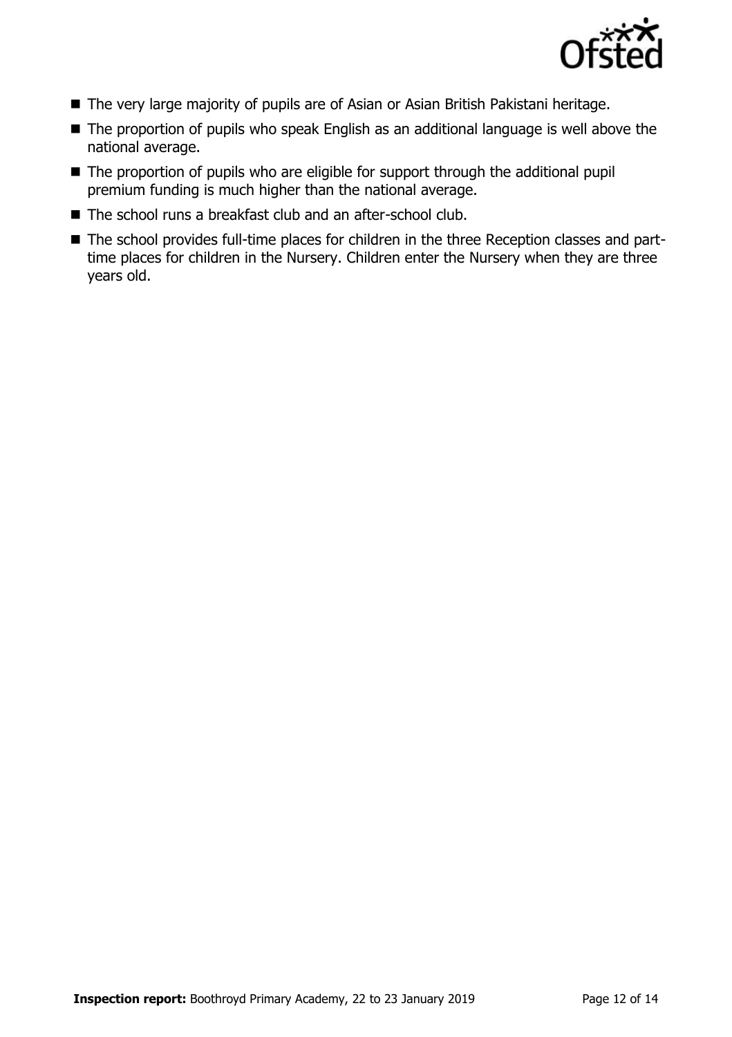

- The very large majority of pupils are of Asian or Asian British Pakistani heritage.
- The proportion of pupils who speak English as an additional language is well above the national average.
- The proportion of pupils who are eligible for support through the additional pupil premium funding is much higher than the national average.
- The school runs a breakfast club and an after-school club.
- The school provides full-time places for children in the three Reception classes and parttime places for children in the Nursery. Children enter the Nursery when they are three years old.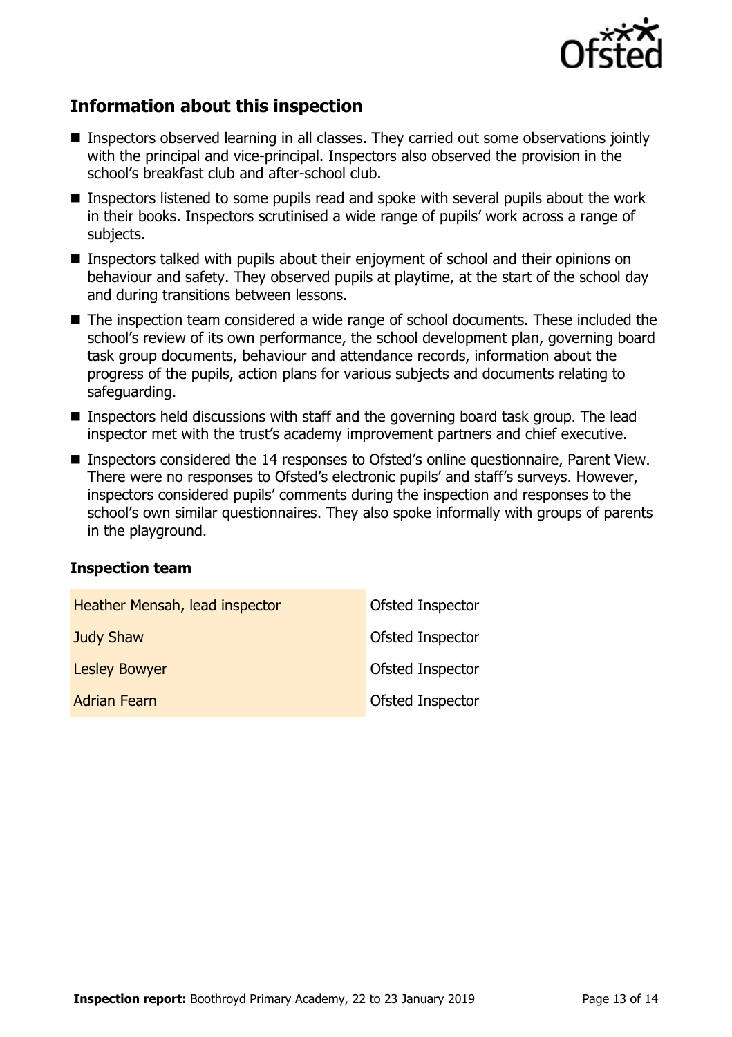

# **Information about this inspection**

- Inspectors observed learning in all classes. They carried out some observations jointly with the principal and vice-principal. Inspectors also observed the provision in the school's breakfast club and after-school club.
- Inspectors listened to some pupils read and spoke with several pupils about the work in their books. Inspectors scrutinised a wide range of pupils' work across a range of subjects.
- Inspectors talked with pupils about their enjoyment of school and their opinions on behaviour and safety. They observed pupils at playtime, at the start of the school day and during transitions between lessons.
- The inspection team considered a wide range of school documents. These included the school's review of its own performance, the school development plan, governing board task group documents, behaviour and attendance records, information about the progress of the pupils, action plans for various subjects and documents relating to safeguarding.
- Inspectors held discussions with staff and the governing board task group. The lead inspector met with the trust's academy improvement partners and chief executive.
- Inspectors considered the 14 responses to Ofsted's online questionnaire, Parent View. There were no responses to Ofsted's electronic pupils' and staff's surveys. However, inspectors considered pupils' comments during the inspection and responses to the school's own similar questionnaires. They also spoke informally with groups of parents in the playground.

#### **Inspection team**

| Heather Mensah, lead inspector | Ofsted Inspector |
|--------------------------------|------------------|
| <b>Judy Shaw</b>               | Ofsted Inspector |
| <b>Lesley Bowyer</b>           | Ofsted Inspector |
| <b>Adrian Fearn</b>            | Ofsted Inspector |